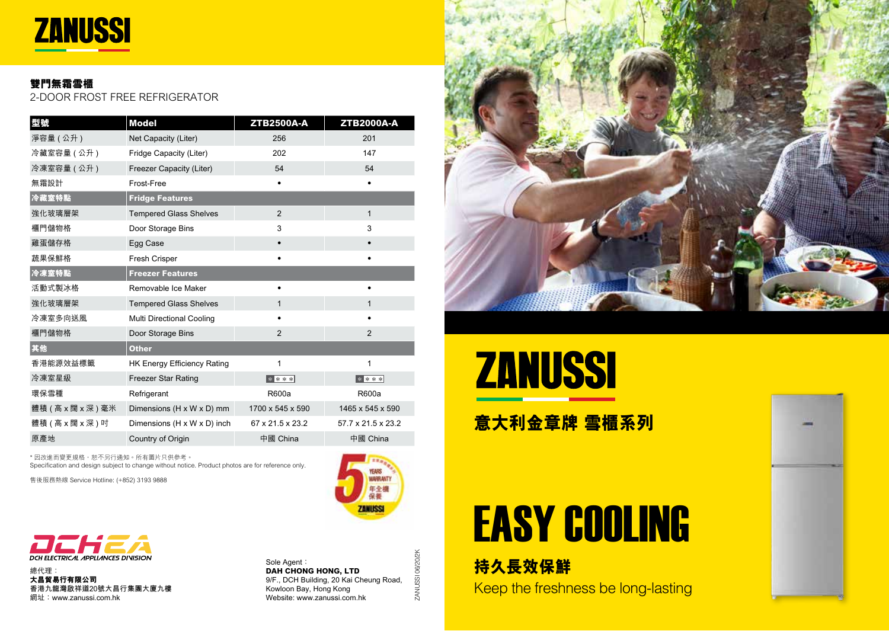

#### **雙門無霜雪櫃**

2-DOOR FROST FREE REFRIGERATOR

| 型號                  | <b>Model</b>                       | <b>ZTB2500A-A</b> | <b>ZTB2000A-A</b>  |
|---------------------|------------------------------------|-------------------|--------------------|
| 淨容量 (公升)            | Net Capacity (Liter)               | 256               | 201                |
| 冷藏室容量(公升)           | Fridge Capacity (Liter)            | 202               | 147                |
| 冷凍室容量 (公升)          | Freezer Capacity (Liter)           | 54                | 54                 |
| 無霜設計                | Frost-Free                         | ٠                 | ٠                  |
| 冷藏室特點               | <b>Fridge Features</b>             |                   |                    |
| 強化玻璃層架              | <b>Tempered Glass Shelves</b>      | 2                 | $\mathbf{1}$       |
| 櫃門儲物格               | Door Storage Bins                  | 3                 | 3                  |
| 雞蛋儲存格               | Egg Case                           |                   |                    |
| 蔬果保鮮格               | <b>Fresh Crisper</b>               |                   | $\bullet$          |
| 冷凍室特點               | <b>Freezer Features</b>            |                   |                    |
| 活動式製冰格              | Removable Ice Maker                |                   |                    |
| 強化玻璃層架              | <b>Tempered Glass Shelves</b>      | 1                 | $\mathbf{1}$       |
| 冷凍室多向送風             | Multi Directional Cooling          |                   |                    |
| 櫃門儲物格               | Door Storage Bins                  | 2                 | $\mathfrak{p}$     |
| 其他                  | <b>Other</b>                       |                   |                    |
| 香港能源效益標籤            | <b>HK Energy Efficiency Rating</b> | 1                 | 1                  |
| 冷凍室星級               | <b>Freezer Star Rating</b>         | $* * * *$         | $* * * *$          |
| 環保雪種                | Refrigerant                        | R600a             | R600a              |
| 體積 ( 高 x 闊 x 深 ) 毫米 | Dimensions (H x W x D) mm          | 1700 x 545 x 590  | 1465 x 545 x 590   |
| 體積 (高 x 闊 x 深 ) 吋   | Dimensions (H x W x D) inch        | 67 x 21.5 x 23.2  | 57.7 x 21.5 x 23.2 |
| 原產地                 | Country of Origin                  | 中國 China          | 中國 China           |

\* 因改進而變更規格,恕不另行通知。所有圖片只供參考。 Specification and design subject to change without notice. Product photos are for reference only.

售後服務熱線 Service Hotline: (+852) 3193 9888



總代理: **大昌貿易行有限公司 香港九龍灣啟祥道20號大昌行集團大廈九樓** 網址:www.zanussi.com.hk

Sole Agent: **DAH CHONG HONG, LTD** 9/F., DCH Building, 20 Kai Cheung Road, Kowloon Bay, Hong Kong Website: www.zanussi.com.hk

ZANUSSI 06/20/2K

ZANUSSI 06/20/2K

**AMPRAIT** 年全機

**ZANIKS** 





**意大利金章牌 雪櫃系列**

# EASY COOLING

**持久長效保鮮** Keep the freshness be long-lasting